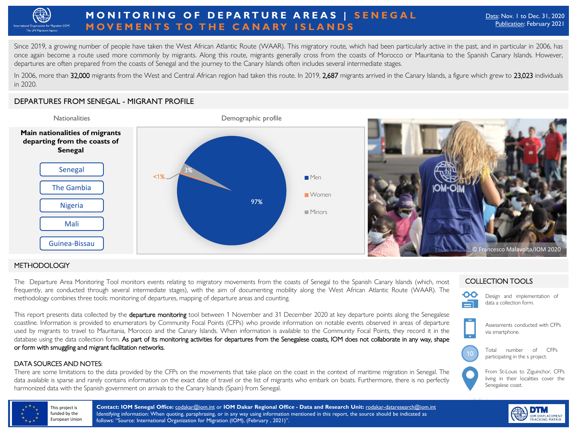

# **MONITORING OF DEPARTURE AREAS | SENEGAL MOVEMENTS TO THE CANARY ISLANDS**

Since 2019, a growing number of people have taken the West African Atlantic Route (WAAR). This migratory route, which had been particularly active in the past, and in particular in 2006, has once again become a route used more commonly by migrants. Along this route, migrants generally cross from the coasts of Morocco or Mauritania to the Spanish Canary Islands. However, departures are often prepared from the coasts of Senegal and the journey to the Canary Islands often includes several intermediate stages.

In 2006, more than <mark>32,000</mark> migrants from the West and Central African region had taken this route. In 2019, <mark>2,687</mark> migrants arrived in the Canary Islands, a figure which grew to **23,023** individuals<br>in 2020. in 2020.

## DEPARTURES FROM SENEGAL - MIGRANT PROFILE



### **METHODOLOGIY**

The Departure Area Monitoring Tool monitors events relating to migratory movements from the coasts of Senegal to the Spanish Canary Islands (which, most frequently, are conducted through several intermediate stages), with the aim of documenting mobility along the West African Atlantic Route (WAAR). The methodology combines three tools: monitoring of departures, mapping of departure areas and counting.

This report presents data collected by the **departure monitoring** tool between 1 November and 31 December 2020 at key departure points along the Senegalese coastline. Information is provided to enumerators by Community Focal Points (CFPs) who provide information on notable events observed in areas of departure used by migrants to travel to Mauritania, Morocco and the Canary Islands. When information is available to the Community Focal Points, they record it in the database using the data collection form. As part of its monitoring activities for departures from the Senegalese coasts, IOM does not collaborate in any way, shape or form with smuggling and migrant facilitation networks.

### DATA SOURCES AND NOTES:

There are some limitations to the data provided by the CFPs on the movements that take place on the coast in the context of maritime migration in Senegal. The data available is sparse and rarely contains information on the exact date of travel or the list of migrants who embark on boats. Furthermore, there is no perfectly harmonized data with the Spanish government on arrivals to the Canary Islands (Spain) from Senegal.

### COLLECTION TOOLS



Design and implementation of data a collection form.





From St-Louis to Ziguinchor, CFPs living in their localities cover the Senegalese coast.



**Contact: IOM Senegal Office:** [codakar@iom.int](mailto:codakar@iom.int) or **IOM Dakar Regional Office - Data and Research Unit:** [rodakar-dataresearch@iom.int](mailto:rodakar-dataresearch@iom.int) Identifying information: When quoting, paraphrasing, or in any way using information mentioned in this report, the source should be indicated as follows: "Source: International Organization for Migration (IOM), (February , 2021)".